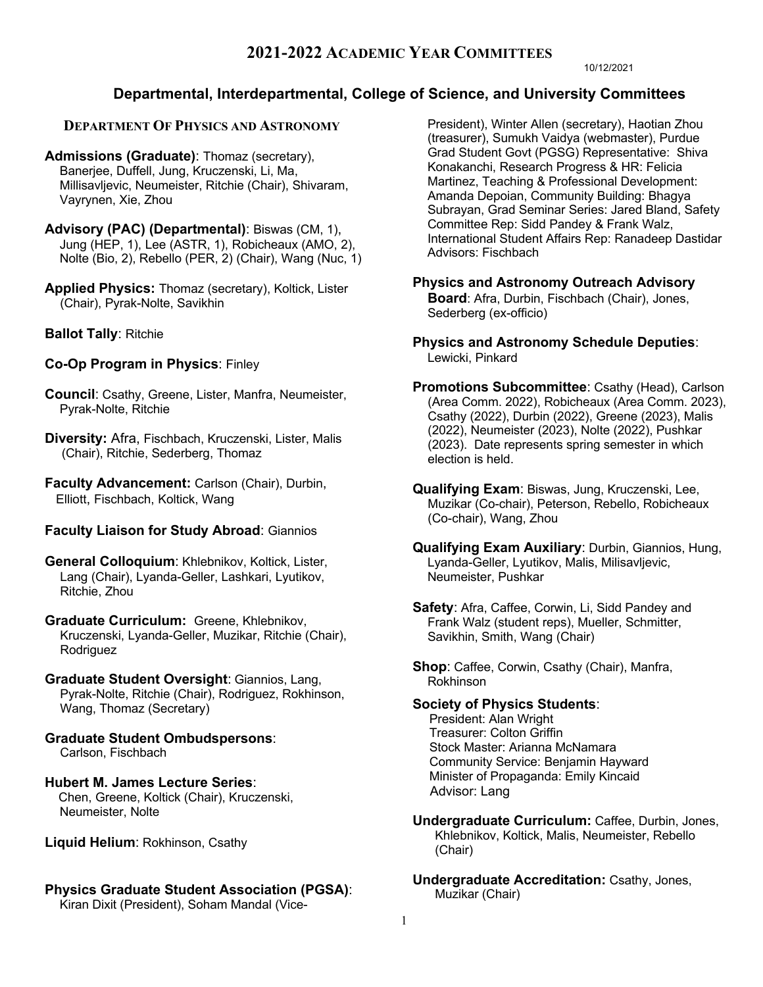10/12/2021

# **Departmental, Interdepartmental, College of Science, and University Committees**

## **DEPARTMENT OF PHYSICS AND ASTRONOMY**

**Admissions (Graduate)**: Thomaz (secretary), Banerjee, Duffell, Jung, Kruczenski, Li, Ma, Millisavljevic, Neumeister, Ritchie (Chair), Shivaram, Vayrynen, Xie, Zhou

- **Advisory (PAC) (Departmental)**: Biswas (CM, 1), Jung (HEP, 1), Lee (ASTR, 1), Robicheaux (AMO, 2), Nolte (Bio, 2), Rebello (PER, 2) (Chair), Wang (Nuc, 1)
- **Applied Physics:** Thomaz (secretary), Koltick, Lister (Chair), Pyrak-Nolte, Savikhin
- **Ballot Tally**: Ritchie

# **Co-Op Program in Physics**: Finley

- **Council**: Csathy, Greene, Lister, Manfra, Neumeister, Pyrak-Nolte, Ritchie
- **Diversity:** Afra, Fischbach, Kruczenski, Lister, Malis (Chair), Ritchie, Sederberg, Thomaz

**Faculty Advancement:** Carlson (Chair), Durbin, Elliott, Fischbach, Koltick, Wang

## **Faculty Liaison for Study Abroad**: Giannios

**General Colloquium**: Khlebnikov, Koltick, Lister, Lang (Chair), Lyanda-Geller, Lashkari, Lyutikov, Ritchie, Zhou

**Graduate Curriculum:** Greene, Khlebnikov, Kruczenski, Lyanda-Geller, Muzikar, Ritchie (Chair), Rodriguez

#### **Graduate Student Oversight**: Giannios, Lang, Pyrak-Nolte, Ritchie (Chair), Rodriguez, Rokhinson, Wang, Thomaz (Secretary)

**Graduate Student Ombudspersons**: Carlson, Fischbach

**Hubert M. James Lecture Series**: Chen, Greene, Koltick (Chair), Kruczenski, Neumeister, Nolte

**Liquid Helium**: Rokhinson, Csathy

# **Physics Graduate Student Association (PGSA)**:

Kiran Dixit (President), Soham Mandal (Vice-

President), Winter Allen (secretary), Haotian Zhou (treasurer), Sumukh Vaidya (webmaster), Purdue Grad Student Govt (PGSG) Representative: Shiva Konakanchi, Research Progress & HR: Felicia Martinez, Teaching & Professional Development: Amanda Depoian, Community Building: Bhagya Subrayan, Grad Seminar Series: Jared Bland, Safety Committee Rep: Sidd Pandey & Frank Walz, International Student Affairs Rep: Ranadeep Dastidar Advisors: Fischbach

**Physics and Astronomy Outreach Advisory Board**: Afra, Durbin, Fischbach (Chair), Jones, Sederberg (ex-officio)

**Physics and Astronomy Schedule Deputies**: Lewicki, Pinkard

**Promotions Subcommittee**: Csathy (Head), Carlson (Area Comm. 2022), Robicheaux (Area Comm. 2023), Csathy (2022), Durbin (2022), Greene (2023), Malis (2022), Neumeister (2023), Nolte (2022), Pushkar (2023). Date represents spring semester in which election is held.

- **Qualifying Exam**: Biswas, Jung, Kruczenski, Lee, Muzikar (Co-chair), Peterson, Rebello, Robicheaux (Co-chair), Wang, Zhou
- **Qualifying Exam Auxiliary**: Durbin, Giannios, Hung, Lyanda-Geller, Lyutikov, Malis, Milisavljevic, Neumeister, Pushkar
- **Safety**: Afra, Caffee, Corwin, Li, Sidd Pandey and Frank Walz (student reps), Mueller, Schmitter, Savikhin, Smith, Wang (Chair)

**Shop**: Caffee, Corwin, Csathy (Chair), Manfra, Rokhinson

## **Society of Physics Students**:

President: Alan Wright Treasurer: Colton Griffin Stock Master: Arianna McNamara Community Service: Benjamin Hayward Minister of Propaganda: Emily Kincaid Advisor: Lang

- **Undergraduate Curriculum:** Caffee, Durbin, Jones, Khlebnikov, Koltick, Malis, Neumeister, Rebello (Chair)
- **Undergraduate Accreditation:** Csathy, Jones, Muzikar (Chair)